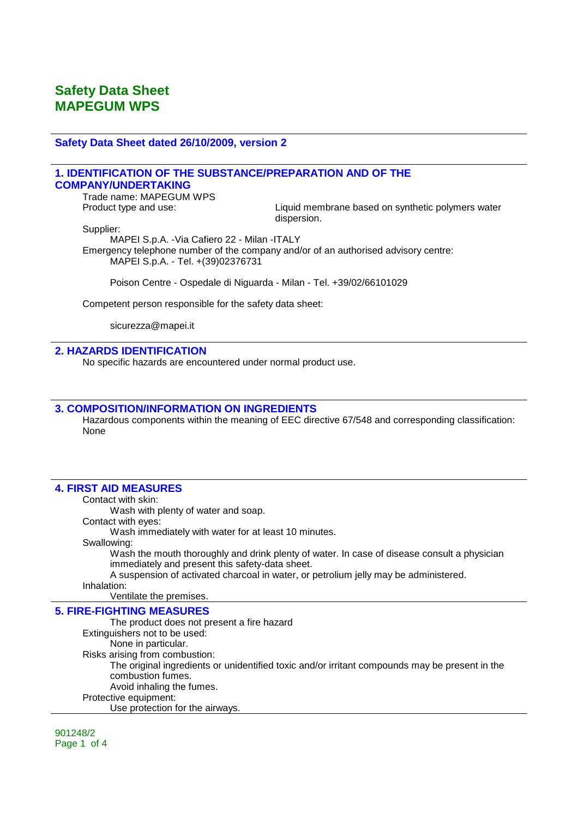#### **Safety Data Sheet dated 26/10/2009, version 2**

## **1. IDENTIFICATION OF THE SUBSTANCE/PREPARATION AND OF THE COMPANY/UNDERTAKING**

Trade name: MAPEGUM WPS

Product type and use: Liquid membrane based on synthetic polymers water dispersion.

Supplier:

MAPEI S.p.A. -Via Cafiero 22 - Milan -ITALY Emergency telephone number of the company and/or of an authorised advisory centre: MAPEI S.p.A. - Tel. +(39)02376731

Poison Centre - Ospedale di Niguarda - Milan - Tel. +39/02/66101029

Competent person responsible for the safety data sheet:

sicurezza@mapei.it

#### **2. HAZARDS IDENTIFICATION**

No specific hazards are encountered under normal product use.

### **3. COMPOSITION/INFORMATION ON INGREDIENTS**

Hazardous components within the meaning of EEC directive 67/548 and corresponding classification: None

#### **4. FIRST AID MEASURES**

Contact with skin:

Wash with plenty of water and soap.

Contact with eyes:

Wash immediately with water for at least 10 minutes.

Swallowing:

Wash the mouth thoroughly and drink plenty of water. In case of disease consult a physician immediately and present this safety-data sheet.

A suspension of activated charcoal in water, or petrolium jelly may be administered.

Inhalation:

## Ventilate the premises.

**5. FIRE-FIGHTING MEASURES**

The product does not present a fire hazard Extinguishers not to be used: None in particular. Risks arising from combustion: The original ingredients or unidentified toxic and/or irritant compounds may be present in the combustion fumes. Avoid inhaling the fumes. Protective equipment: Use protection for the airways.

901248/2 Page 1 of 4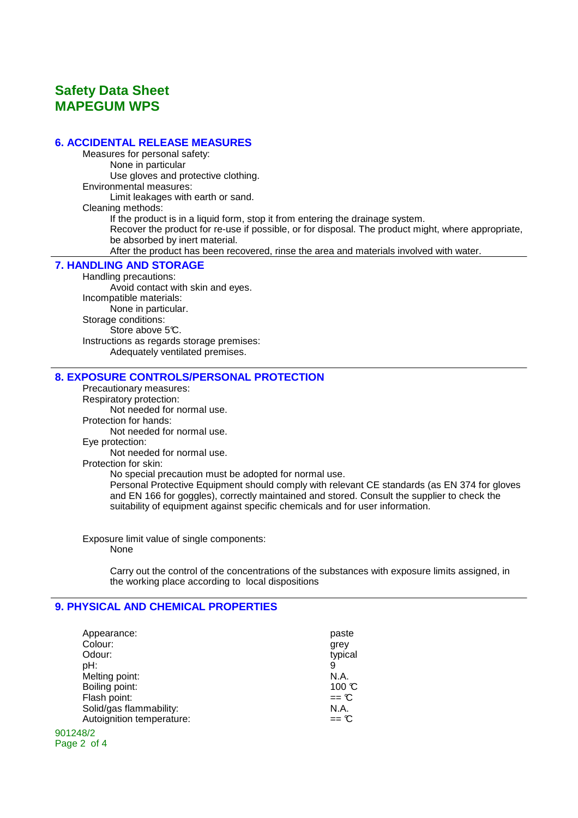## **Safety Data Sheet MAPEGUM WPS**

## **6. ACCIDENTAL RELEASE MEASURES**

Measures for personal safety: None in particular Use gloves and protective clothing. Environmental measures: Limit leakages with earth or sand. Cleaning methods: If the product is in a liquid form, stop it from entering the drainage system. Recover the product for re-use if possible, or for disposal. The product might, where appropriate, be absorbed by inert material. After the product has been recovered, rinse the area and materials involved with water.

#### **7. HANDLING AND STORAGE**

Handling precautions: Avoid contact with skin and eyes. Incompatible materials: None in particular. Storage conditions: Store above 5°C. Instructions as regards storage premises: Adequately ventilated premises.

## **8. EXPOSURE CONTROLS/PERSONAL PROTECTION**

Precautionary measures: Respiratory protection: Not needed for normal use. Protection for hands:

Not needed for normal use.

Eye protection:

Not needed for normal use.

Protection for skin:

No special precaution must be adopted for normal use.

Personal Protective Equipment should comply with relevant CE standards (as EN 374 for gloves and EN 166 for goggles), correctly maintained and stored. Consult the supplier to check the suitability of equipment against specific chemicals and for user information.

Exposure limit value of single components: None

> Carry out the control of the concentrations of the substances with exposure limits assigned, in the working place according to local dispositions

## **9. PHYSICAL AND CHEMICAL PROPERTIES**

| Appearance:               | paste             |
|---------------------------|-------------------|
| Colour:                   | grey              |
| Odour:                    | typical           |
| pH:                       | 9                 |
| Melting point:            | N.A.              |
| Boiling point:            | $100 \text{ C}$   |
| Flash point:              | $==$ $C$          |
| Solid/gas flammability:   | N.A.              |
| Autoignition temperature: | $==$ $\mathbb{C}$ |
| 901248/2                  |                   |

Page 2 of 4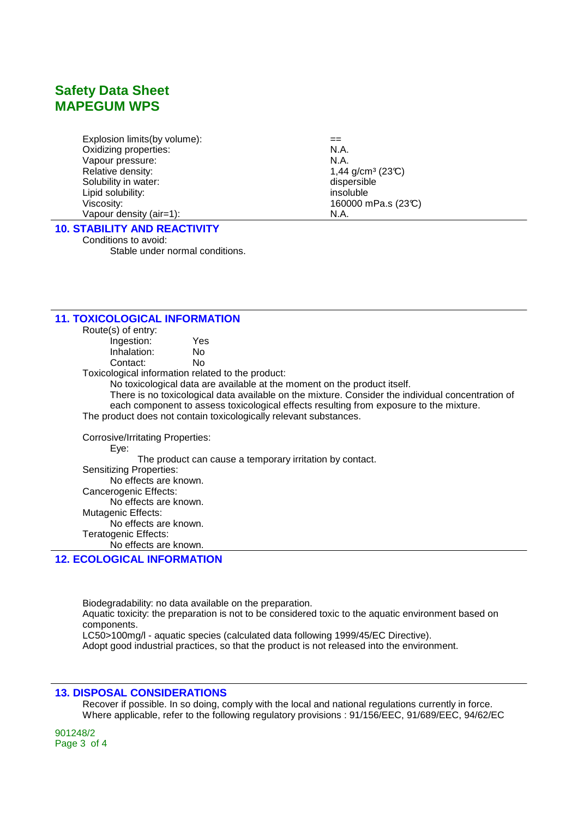## **Safety Data Sheet MAPEGUM WPS**

Explosion limits(by volume):  $=$ Oxidizing properties: N.A. Vapour pressure: N.A. Relative density:  $1,44$  g/cm<sup>3</sup> (23°C)<br>Solubility in water:  $\qquad \qquad$  dispersible Solubility in water: Lipid solubility: insoluble Viscosity: 160000 mPa.s (23°C) Vapour density (air=1): N.A.

## **10. STABILITY AND REACTIVITY**

Conditions to avoid: Stable under normal conditions.

| <b>11. TOXICOLOGICAL INFORMATION</b> |                                                                                                   |
|--------------------------------------|---------------------------------------------------------------------------------------------------|
| Route(s) of entry:                   |                                                                                                   |
| Ingestion:                           | Yes                                                                                               |
| Inhalation:                          | No.                                                                                               |
| Contact:                             | No.                                                                                               |
|                                      | Toxicological information related to the product:                                                 |
|                                      | No toxicological data are available at the moment on the product itself.                          |
|                                      | There is no toxicological data available on the mixture. Consider the individual concentration of |
|                                      | each component to assess toxicological effects resulting from exposure to the mixture.            |
|                                      | The product does not contain toxicologically relevant substances.                                 |
| Corrosive/Irritating Properties:     |                                                                                                   |
| Eye:                                 |                                                                                                   |
|                                      | The product can cause a temporary irritation by contact.                                          |
| <b>Sensitizing Properties:</b>       |                                                                                                   |
| No effects are known.                |                                                                                                   |
| Cancerogenic Effects:                |                                                                                                   |
| No effects are known.                |                                                                                                   |
| Mutagenic Effects:                   |                                                                                                   |
| No effects are known.                |                                                                                                   |
| Teratogenic Effects:                 |                                                                                                   |
| No effects are known.                |                                                                                                   |

## **12. ECOLOGICAL INFORMATION**

Biodegradability: no data available on the preparation. Aquatic toxicity: the preparation is not to be considered toxic to the aquatic environment based on components. LC50>100mg/l - aquatic species (calculated data following 1999/45/EC Directive). Adopt good industrial practices, so that the product is not released into the environment.

## **13. DISPOSAL CONSIDERATIONS**

Recover if possible. In so doing, comply with the local and national regulations currently in force. Where applicable, refer to the following regulatory provisions : 91/156/EEC, 91/689/EEC, 94/62/EC

901248/2 Page 3 of 4